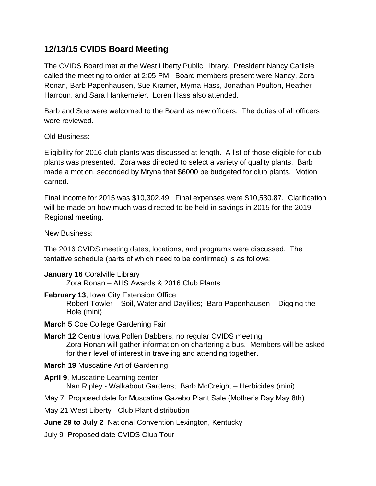## **12/13/15 CVIDS Board Meeting**

The CVIDS Board met at the West Liberty Public Library. President Nancy Carlisle called the meeting to order at 2:05 PM. Board members present were Nancy, Zora Ronan, Barb Papenhausen, Sue Kramer, Myrna Hass, Jonathan Poulton, Heather Harroun, and Sara Hankemeier. Loren Hass also attended.

Barb and Sue were welcomed to the Board as new officers. The duties of all officers were reviewed.

Old Business:

Eligibility for 2016 club plants was discussed at length. A list of those eligible for club plants was presented. Zora was directed to select a variety of quality plants. Barb made a motion, seconded by Mryna that \$6000 be budgeted for club plants. Motion carried.

Final income for 2015 was \$10,302.49. Final expenses were \$10,530.87. Clarification will be made on how much was directed to be held in savings in 2015 for the 2019 Regional meeting.

New Business:

The 2016 CVIDS meeting dates, locations, and programs were discussed. The tentative schedule (parts of which need to be confirmed) is as follows:

**January 16** Coralville Library

Zora Ronan – AHS Awards & 2016 Club Plants

**February 13**, Iowa City Extension Office

Robert Towler – Soil, Water and Daylilies; Barb Papenhausen – Digging the Hole (mini)

- **March 5** Coe College Gardening Fair
- **March 12** Central Iowa Pollen Dabbers, no regular CVIDS meeting Zora Ronan will gather information on chartering a bus. Members will be asked for their level of interest in traveling and attending together.
- **March 19** Muscatine Art of Gardening
- **April 9**, Muscatine Learning center Nan Ripley - Walkabout Gardens; Barb McCreight – Herbicides (mini)
- May 7 Proposed date for Muscatine Gazebo Plant Sale (Mother's Day May 8th)

May 21 West Liberty - Club Plant distribution

- **June 29 to July 2** National Convention Lexington, Kentucky
- July 9 Proposed date CVIDS Club Tour